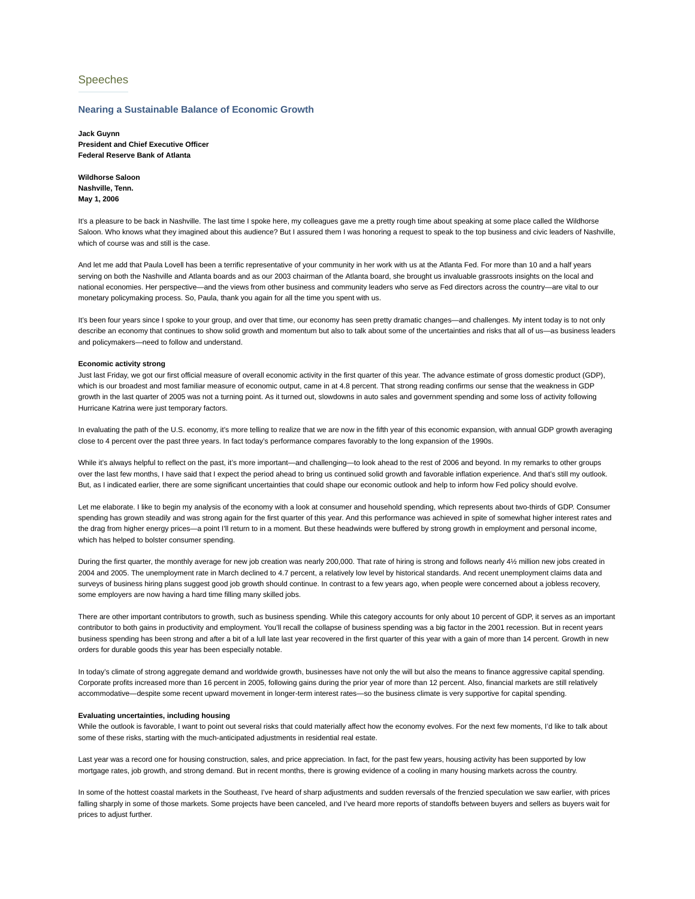# Speeches

## **Nearing a Sustainable Balance of Economic Growth**

**Jack Guynn President and Chief Executive Officer Federal Reserve Bank of Atlanta**

**Wildhorse Saloon Nashville, Tenn. May 1, 2006**

It's a pleasure to be back in Nashville. The last time I spoke here, my colleagues gave me a pretty rough time about speaking at some place called the Wildhorse Saloon. Who knows what they imagined about this audience? But I assured them I was honoring a request to speak to the top business and civic leaders of Nashville, which of course was and still is the case.

And let me add that Paula Lovell has been a terrific representative of your community in her work with us at the Atlanta Fed. For more than 10 and a half years serving on both the Nashville and Atlanta boards and as our 2003 chairman of the Atlanta board, she brought us invaluable grassroots insights on the local and national economies. Her perspective—and the views from other business and community leaders who serve as Fed directors across the country—are vital to our monetary policymaking process. So, Paula, thank you again for all the time you spent with us.

It's been four years since I spoke to your group, and over that time, our economy has seen pretty dramatic changes—and challenges. My intent today is to not only describe an economy that continues to show solid growth and momentum but also to talk about some of the uncertainties and risks that all of us—as business leaders and policymakers—need to follow and understand.

#### **Economic activity strong**

Just last Friday, we got our first official measure of overall economic activity in the first quarter of this year. The advance estimate of gross domestic product (GDP), which is our broadest and most familiar measure of economic output, came in at 4.8 percent. That strong reading confirms our sense that the weakness in GDP growth in the last quarter of 2005 was not a turning point. As it turned out, slowdowns in auto sales and government spending and some loss of activity following Hurricane Katrina were just temporary factors.

In evaluating the path of the U.S. economy, it's more telling to realize that we are now in the fifth year of this economic expansion, with annual GDP growth averaging close to 4 percent over the past three years. In fact today's performance compares favorably to the long expansion of the 1990s.

While it's always helpful to reflect on the past, it's more important—and challenging—to look ahead to the rest of 2006 and beyond. In my remarks to other groups over the last few months, I have said that I expect the period ahead to bring us continued solid growth and favorable inflation experience. And that's still my outlook. But, as I indicated earlier, there are some significant uncertainties that could shape our economic outlook and help to inform how Fed policy should evolve.

Let me elaborate. I like to begin my analysis of the economy with a look at consumer and household spending, which represents about two-thirds of GDP. Consumer spending has grown steadily and was strong again for the first quarter of this year. And this performance was achieved in spite of somewhat higher interest rates and the drag from higher energy prices—a point I'll return to in a moment. But these headwinds were buffered by strong growth in employment and personal income, which has helped to bolster consumer spending.

During the first quarter, the monthly average for new job creation was nearly 200,000. That rate of hiring is strong and follows nearly 4½ million new jobs created in 2004 and 2005. The unemployment rate in March declined to 4.7 percent, a relatively low level by historical standards. And recent unemployment claims data and surveys of business hiring plans suggest good job growth should continue. In contrast to a few years ago, when people were concerned about a jobless recovery, some employers are now having a hard time filling many skilled jobs.

There are other important contributors to growth, such as business spending. While this category accounts for only about 10 percent of GDP, it serves as an important contributor to both gains in productivity and employment. You'll recall the collapse of business spending was a big factor in the 2001 recession. But in recent years business spending has been strong and after a bit of a lull late last year recovered in the first quarter of this year with a gain of more than 14 percent. Growth in new orders for durable goods this year has been especially notable.

In today's climate of strong aggregate demand and worldwide growth, businesses have not only the will but also the means to finance aggressive capital spending. Corporate profits increased more than 16 percent in 2005, following gains during the prior year of more than 12 percent. Also, financial markets are still relatively accommodative—despite some recent upward movement in longer-term interest rates—so the business climate is very supportive for capital spending.

#### **Evaluating uncertainties, including housing**

While the outlook is favorable, I want to point out several risks that could materially affect how the economy evolves. For the next few moments, I'd like to talk about some of these risks, starting with the much-anticipated adjustments in residential real estate.

Last year was a record one for housing construction, sales, and price appreciation. In fact, for the past few years, housing activity has been supported by low mortgage rates, job growth, and strong demand. But in recent months, there is growing evidence of a cooling in many housing markets across the country.

In some of the hottest coastal markets in the Southeast, I've heard of sharp adjustments and sudden reversals of the frenzied speculation we saw earlier, with prices falling sharply in some of those markets. Some projects have been canceled, and I've heard more reports of standoffs between buyers and sellers as buyers wait for prices to adjust further.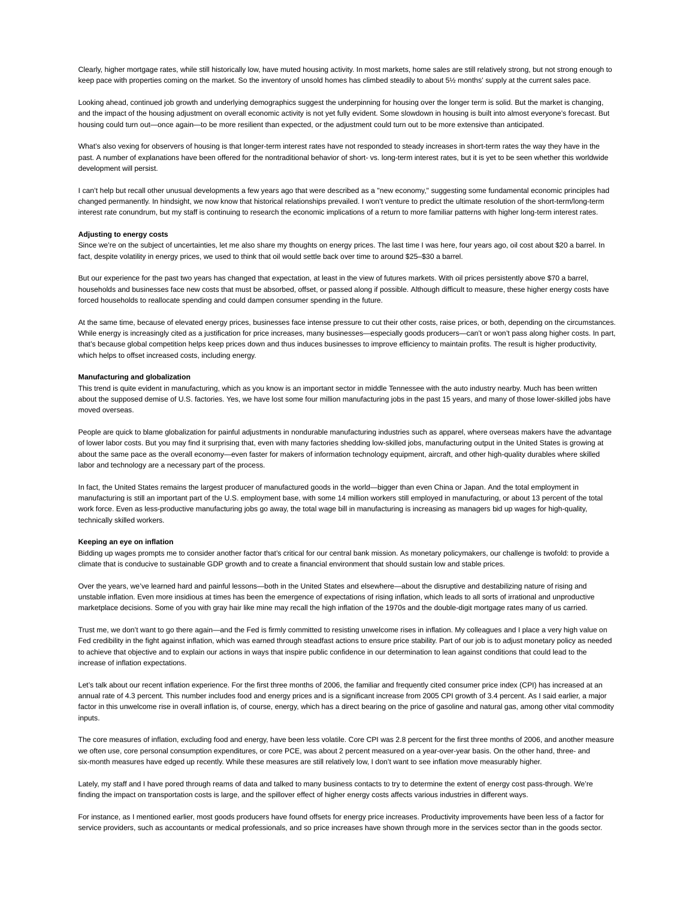Clearly, higher mortgage rates, while still historically low, have muted housing activity. In most markets, home sales are still relatively strong, but not strong enough to keep pace with properties coming on the market. So the inventory of unsold homes has climbed steadily to about 5½ months' supply at the current sales pace.

Looking ahead, continued job growth and underlying demographics suggest the underpinning for housing over the longer term is solid. But the market is changing, and the impact of the housing adjustment on overall economic activity is not yet fully evident. Some slowdown in housing is built into almost everyone's forecast. But housing could turn out—once again—to be more resilient than expected, or the adjustment could turn out to be more extensive than anticipated.

What's also vexing for observers of housing is that longer-term interest rates have not responded to steady increases in short-term rates the way they have in the past. A number of explanations have been offered for the nontraditional behavior of short- vs. long-term interest rates, but it is yet to be seen whether this worldwide development will persist.

I can't help but recall other unusual developments a few years ago that were described as a "new economy," suggesting some fundamental economic principles had changed permanently. In hindsight, we now know that historical relationships prevailed. I won't venture to predict the ultimate resolution of the short-term/long-term interest rate conundrum, but my staff is continuing to research the economic implications of a return to more familiar patterns with higher long-term interest rates.

## **Adjusting to energy costs**

Since we're on the subject of uncertainties, let me also share my thoughts on energy prices. The last time I was here, four years ago, oil cost about \$20 a barrel. In fact, despite volatility in energy prices, we used to think that oil would settle back over time to around \$25–\$30 a barrel.

But our experience for the past two years has changed that expectation, at least in the view of futures markets. With oil prices persistently above \$70 a barrel, households and businesses face new costs that must be absorbed, offset, or passed along if possible. Although difficult to measure, these higher energy costs have forced households to reallocate spending and could dampen consumer spending in the future.

At the same time, because of elevated energy prices, businesses face intense pressure to cut their other costs, raise prices, or both, depending on the circumstances. While energy is increasingly cited as a justification for price increases, many businesses—especially goods producers—can't or won't pass along higher costs. In part, that's because global competition helps keep prices down and thus induces businesses to improve efficiency to maintain profits. The result is higher productivity, which helps to offset increased costs, including energy.

#### **Manufacturing and globalization**

This trend is quite evident in manufacturing, which as you know is an important sector in middle Tennessee with the auto industry nearby. Much has been written about the supposed demise of U.S. factories. Yes, we have lost some four million manufacturing jobs in the past 15 years, and many of those lower-skilled jobs have moved overseas.

People are quick to blame globalization for painful adjustments in nondurable manufacturing industries such as apparel, where overseas makers have the advantage of lower labor costs. But you may find it surprising that, even with many factories shedding low-skilled jobs, manufacturing output in the United States is growing at about the same pace as the overall economy—even faster for makers of information technology equipment, aircraft, and other high-quality durables where skilled labor and technology are a necessary part of the process.

In fact, the United States remains the largest producer of manufactured goods in the world—bigger than even China or Japan. And the total employment in manufacturing is still an important part of the U.S. employment base, with some 14 million workers still employed in manufacturing, or about 13 percent of the total work force. Even as less-productive manufacturing jobs go away, the total wage bill in manufacturing is increasing as managers bid up wages for high-quality, technically skilled workers.

#### **Keeping an eye on inflation**

Bidding up wages prompts me to consider another factor that's critical for our central bank mission. As monetary policymakers, our challenge is twofold: to provide a climate that is conducive to sustainable GDP growth and to create a financial environment that should sustain low and stable prices.

Over the years, we've learned hard and painful lessons—both in the United States and elsewhere—about the disruptive and destabilizing nature of rising and unstable inflation. Even more insidious at times has been the emergence of expectations of rising inflation, which leads to all sorts of irrational and unproductive marketplace decisions. Some of you with gray hair like mine may recall the high inflation of the 1970s and the double-digit mortgage rates many of us carried.

Trust me, we don't want to go there again—and the Fed is firmly committed to resisting unwelcome rises in inflation. My colleagues and I place a very high value on Fed credibility in the fight against inflation, which was earned through steadfast actions to ensure price stability. Part of our job is to adjust monetary policy as needed to achieve that objective and to explain our actions in ways that inspire public confidence in our determination to lean against conditions that could lead to the increase of inflation expectations.

Let's talk about our recent inflation experience. For the first three months of 2006, the familiar and frequently cited consumer price index (CPI) has increased at an annual rate of 4.3 percent. This number includes food and energy prices and is a significant increase from 2005 CPI growth of 3.4 percent. As I said earlier, a major factor in this unwelcome rise in overall inflation is, of course, energy, which has a direct bearing on the price of gasoline and natural gas, among other vital commodity inputs.

The core measures of inflation, excluding food and energy, have been less volatile. Core CPI was 2.8 percent for the first three months of 2006, and another measure we often use, core personal consumption expenditures, or core PCE, was about 2 percent measured on a year-over-year basis. On the other hand, three- and six-month measures have edged up recently. While these measures are still relatively low, I don't want to see inflation move measurably higher.

Lately, my staff and I have pored through reams of data and talked to many business contacts to try to determine the extent of energy cost pass-through. We're finding the impact on transportation costs is large, and the spillover effect of higher energy costs affects various industries in different ways.

For instance, as I mentioned earlier, most goods producers have found offsets for energy price increases. Productivity improvements have been less of a factor for service providers, such as accountants or medical professionals, and so price increases have shown through more in the services sector than in the goods sector.